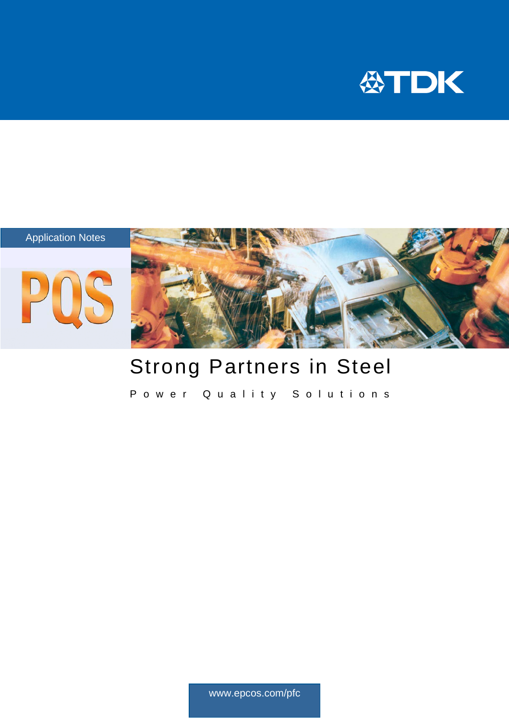



# Strong Partners in Steel

Power Quality Solutions

www.epcos.com/pfc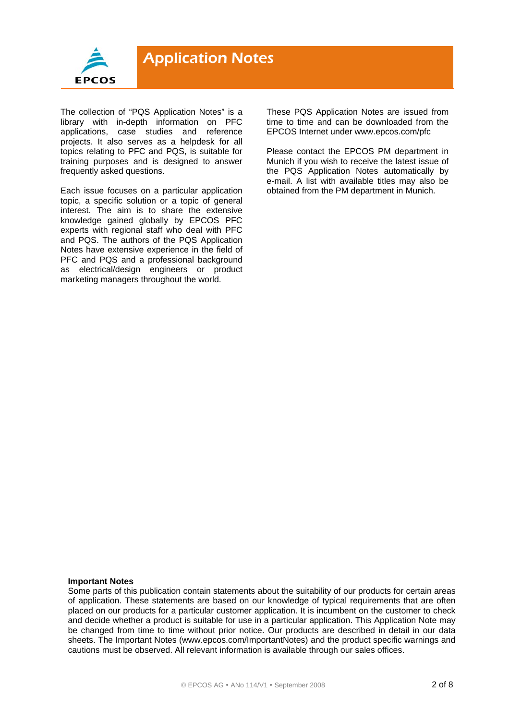

The collection of "PQS Application Notes" is a library with in-depth information on PFC applications, case studies and reference projects. It also serves as a helpdesk for all topics relating to PFC and PQS, is suitable for training purposes and is designed to answer frequently asked questions.

Each issue focuses on a particular application topic, a specific solution or a topic of general interest. The aim is to share the extensive knowledge gained globally by EPCOS PFC experts with regional staff who deal with PFC and PQS. The authors of the PQS Application Notes have extensive experience in the field of PFC and PQS and a professional background as electrical/design engineers or product marketing managers throughout the world.

These PQS Application Notes are issued from time to time and can be downloaded from the EPCOS Internet under www.epcos.com/pfc

Please contact the EPCOS PM department in Munich if you wish to receive the latest issue of the PQS Application Notes automatically by e-mail. A list with available titles may also be obtained from the PM department in Munich.

#### **Important Notes**

Some parts of this publication contain statements about the suitability of our products for certain areas of application. These statements are based on our knowledge of typical requirements that are often placed on our products for a particular customer application. It is incumbent on the customer to check and decide whether a product is suitable for use in a particular application. This Application Note may be changed from time to time without prior notice. Our products are described in detail in our data sheets. The Important Notes (www.epcos.com/ImportantNotes) and the product specific warnings and cautions must be observed. All relevant information is available through our sales offices.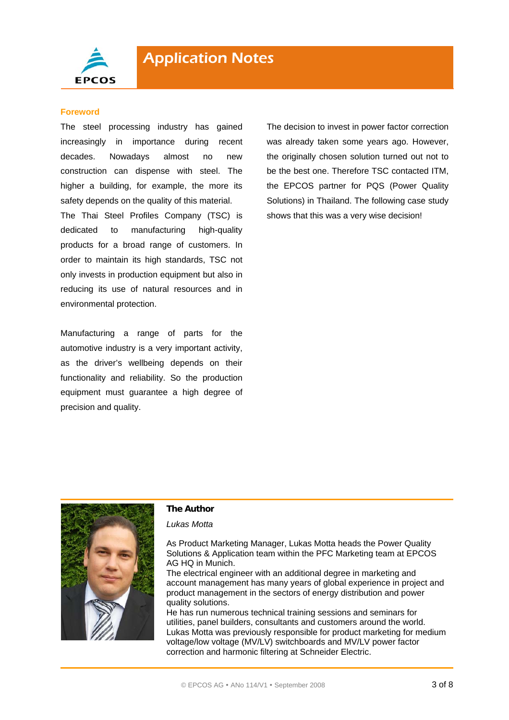

#### **Foreword**

The steel processing industry has gained increasingly in importance during recent decades. Nowadays almost no new construction can dispense with steel. The higher a building, for example, the more its safety depends on the quality of this material.

The Thai Steel Profiles Company (TSC) is dedicated to manufacturing high-quality products for a broad range of customers. In order to maintain its high standards, TSC not only invests in production equipment but also in reducing its use of natural resources and in environmental protection.

Manufacturing a range of parts for the automotive industry is a very important activity, as the driver's wellbeing depends on their functionality and reliability. So the production equipment must guarantee a high degree of precision and quality.

The decision to invest in power factor correction was already taken some years ago. However, the originally chosen solution turned out not to be the best one. Therefore TSC contacted ITM, the EPCOS partner for PQS (Power Quality Solutions) in Thailand. The following case study shows that this was a very wise decision!



#### **The Author**

#### *Lukas Motta*

As Product Marketing Manager, Lukas Motta heads the Power Quality Solutions & Application team within the PFC Marketing team at EPCOS AG HQ in Munich.

The electrical engineer with an additional degree in marketing and account management has many years of global experience in project and product management in the sectors of energy distribution and power quality solutions.

He has run numerous technical training sessions and seminars for utilities, panel builders, consultants and customers around the world. Lukas Motta was previously responsible for product marketing for medium voltage/low voltage (MV/LV) switchboards and MV/LV power factor correction and harmonic filtering at Schneider Electric.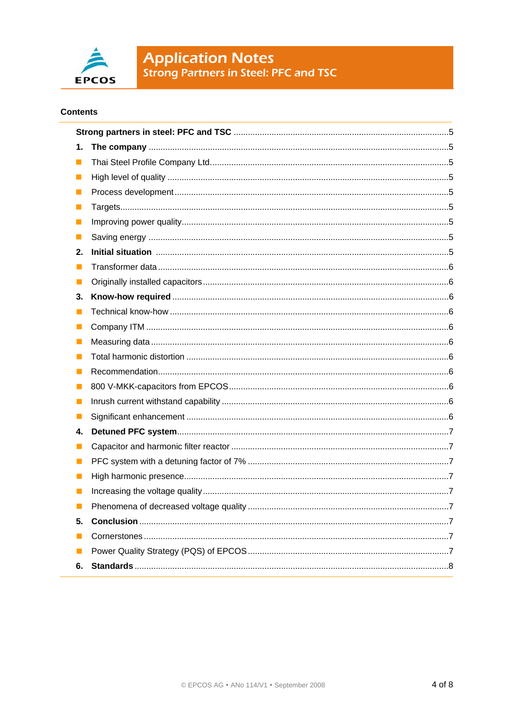

**Application Notes**<br>Strong Partners in Steel: PFC and TSC

### **Contents**

| 1. |  |  |
|----|--|--|
| ш  |  |  |
| u  |  |  |
| ш  |  |  |
| L. |  |  |
| П  |  |  |
| П  |  |  |
| 2. |  |  |
| П  |  |  |
| u  |  |  |
| 3. |  |  |
| ш  |  |  |
|    |  |  |
| u  |  |  |
| ш  |  |  |
| u  |  |  |
|    |  |  |
| M  |  |  |
| L. |  |  |
| 4. |  |  |
| ш  |  |  |
| L. |  |  |
| n  |  |  |
| L. |  |  |
| П  |  |  |
| 5. |  |  |
|    |  |  |
|    |  |  |
| 6. |  |  |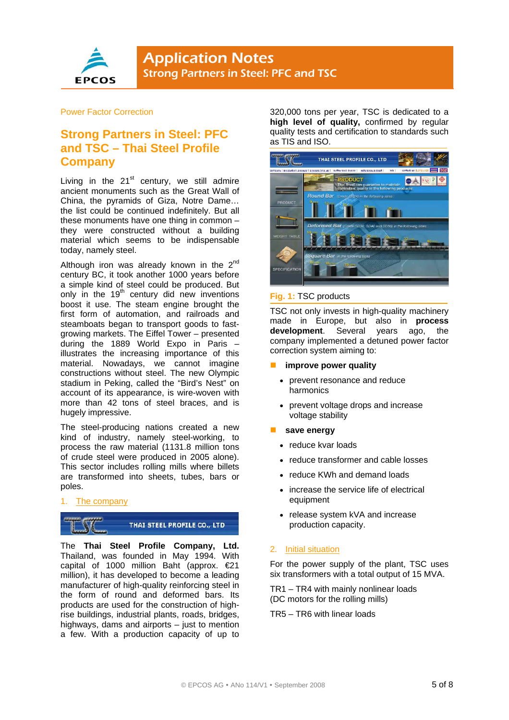

#### Power Factor Correction

## **Strong Partners in Steel: PFC and TSC – Thai Steel Profile Company**

Living in the  $21<sup>st</sup>$  century, we still admire ancient monuments such as the Great Wall of China, the pyramids of Giza, Notre Dame… the list could be continued indefinitely. But all these monuments have one thing in common – they were constructed without a building material which seems to be indispensable today, namely steel.

Although iron was already known in the  $2<sup>nd</sup>$ century BC, it took another 1000 years before a simple kind of steel could be produced. But only in the 19<sup>th</sup> century did new inventions boost it use. The steam engine brought the first form of automation, and railroads and steamboats began to transport goods to fastgrowing markets. The Eiffel Tower – presented during the 1889 World Expo in Paris – illustrates the increasing importance of this material. Nowadays, we cannot imagine constructions without steel. The new Olympic stadium in Peking, called the "Bird's Nest" on account of its appearance, is wire-woven with more than 42 tons of steel braces, and is hugely impressive.

The steel-producing nations created a new kind of industry, namely steel-working, to process the raw material (1131.8 million tons of crude steel were produced in 2005 alone). This sector includes rolling mills where billets are transformed into sheets, tubes, bars or poles.

1. The company



The **Thai Steel Profile Company, Ltd.**  Thailand, was founded in May 1994. With capital of 1000 million Baht (approx. €21 million), it has developed to become a leading manufacturer of high-quality reinforcing steel in the form of round and deformed bars. Its products are used for the construction of highrise buildings, industrial plants, roads, bridges, highways, dams and airports – just to mention a few. With a production capacity of up to 320,000 tons per year, TSC is dedicated to a **high level of quality,** confirmed by regular quality tests and certification to standards such as TIS and ISO.



#### **Fig. 1:** TSC products

TSC not only invests in high-quality machinery made in Europe, but also in **process development**. Several years ago, the company implemented a detuned power factor correction system aiming to:

#### **improve power quality**

- prevent resonance and reduce harmonics
- prevent voltage drops and increase voltage stability
- **save energy** 
	- reduce kvar loads
	- reduce transformer and cable losses
	- reduce KWh and demand loads
	- increase the service life of electrical equipment
	- release system kVA and increase production capacity.

#### 2. Initial situation

For the power supply of the plant, TSC uses six transformers with a total output of 15 MVA.

TR1 – TR4 with mainly nonlinear loads (DC motors for the rolling mills)

TR5 – TR6 with linear loads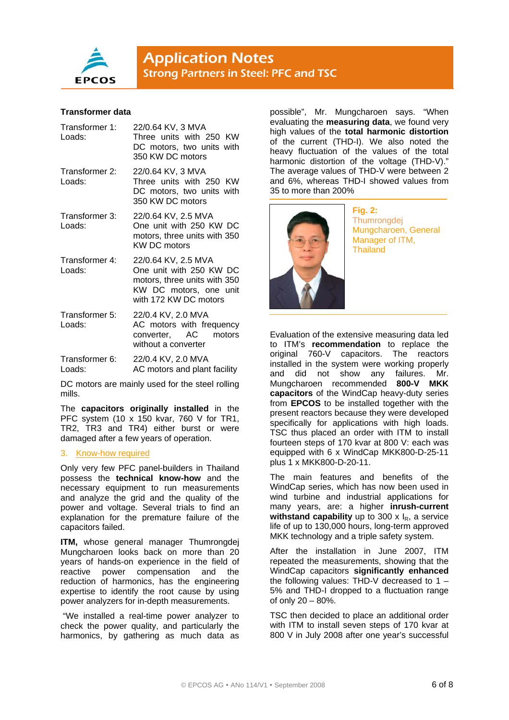

#### **Transformer data**

| Transformer 1:<br>Loads: | 22/0.64 KV, 3 MVA<br>Three units with 250 KW<br>DC motors, two units with<br>350 KW DC motors                                     |
|--------------------------|-----------------------------------------------------------------------------------------------------------------------------------|
| Transformer 2:<br>Loads: | 22/0.64 KV, 3 MVA<br>Three units with 250 KW<br>DC motors, two units with<br>350 KW DC motors                                     |
| Transformer 3:<br>Loads: | 22/0.64 KV, 2.5 MVA<br>One unit with 250 KW DC<br>motors, three units with 350<br><b>KW DC motors</b>                             |
| Transformer 4:<br>Loads: | 22/0.64 KV, 2.5 MVA<br>One unit with 250 KW DC<br>motors, three units with 350<br>KW DC motors, one unit<br>with 172 KW DC motors |
| Transformer 5:<br>Loads: | 22/0.4 KV, 2.0 MVA<br>AC motors with frequency<br>converter, AC<br>motors<br>without a converter                                  |
| Transformer 6:<br>Loads: | 22/0.4 KV, 2.0 MVA<br>AC motors and plant facility                                                                                |

DC motors are mainly used for the steel rolling mills.

The **capacitors originally installed** in the PFC system (10 x 150 kvar, 760 V for TR1, TR2, TR3 and TR4) either burst or were damaged after a few years of operation.

#### 3. Know-how required

Only very few PFC panel-builders in Thailand possess the **technical know-how** and the necessary equipment to run measurements and analyze the grid and the quality of the power and voltage. Several trials to find an explanation for the premature failure of the capacitors failed.

**ITM,** whose general manager Thumrongdej Mungcharoen looks back on more than 20 years of hands-on experience in the field of reactive power compensation and the reduction of harmonics, has the engineering expertise to identify the root cause by using power analyzers for in-depth measurements.

 "We installed a real-time power analyzer to check the power quality, and particularly the harmonics, by gathering as much data as

possible", Mr. Mungcharoen says. "When evaluating the **measuring data**, we found very high values of the **total harmonic distortion** of the current (THD-I). We also noted the heavy fluctuation of the values of the total harmonic distortion of the voltage (THD-V)." The average values of THD-V were between 2 and 6%, whereas THD-I showed values from 35 to more than 200%



**Fig. 2: Thumrongdej** Mungcharoen, General Manager of ITM, Thailand

Evaluation of the extensive measuring data led to ITM's **recommendation** to replace the original 760-V capacitors. The reactors installed in the system were working properly and did not show any failures. Mr. Mungcharoen recommended **800-V MKK capacitors** of the WindCap heavy-duty series from **EPCOS** to be installed together with the present reactors because they were developed specifically for applications with high loads. TSC thus placed an order with ITM to install fourteen steps of 170 kvar at 800 V: each was equipped with 6 x WindCap MKK800-D-25-11 plus 1 x MKK800-D-20-11.

The main features and benefits of the WindCap series, which has now been used in wind turbine and industrial applications for many years, are: a higher **inrush-current withstand capability** up to 300  $\times$   $I_R$ , a service life of up to 130,000 hours, long-term approved MKK technology and a triple safety system.

After the installation in June 2007, ITM repeated the measurements, showing that the WindCap capacitors **significantly enhanced** the following values: THD-V decreased to 1 – 5% and THD-I dropped to a fluctuation range of only 20 – 80%.

TSC then decided to place an additional order with ITM to install seven steps of 170 kvar at 800 V in July 2008 after one year's successful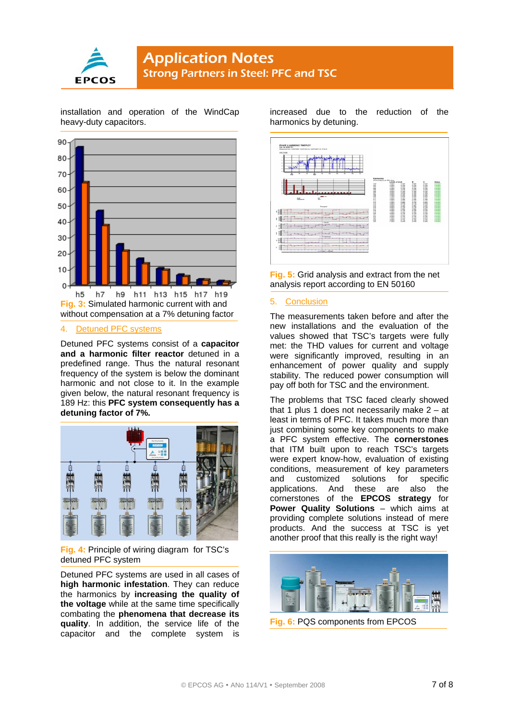

installation and operation of the WindCap heavy-duty capacitors.



#### 4. Detuned PFC systems

Detuned PFC systems consist of a **capacitor and a harmonic filter reactor** detuned in a predefined range. Thus the natural resonant frequency of the system is below the dominant harmonic and not close to it. In the example given below, the natural resonant frequency is 189 Hz: this **PFC system consequently has a detuning factor of 7%.**



**Fig. 4:** Principle of wiring diagram for TSC's detuned PFC system

Detuned PFC systems are used in all cases of **high harmonic infestation**. They can reduce the harmonics by **increasing the quality of the voltage** while at the same time specifically combating the **phenomena that decrease its quality**. In addition, the service life of the capacitor and the complete system is increased due to the reduction of the harmonics by detuning.



**Fig. 5:** Grid analysis and extract from the net analysis report according to EN 50160

#### 5. Conclusion

The measurements taken before and after the new installations and the evaluation of the values showed that TSC's targets were fully met: the THD values for current and voltage were significantly improved, resulting in an enhancement of power quality and supply stability. The reduced power consumption will pay off both for TSC and the environment.

The problems that TSC faced clearly showed that 1 plus 1 does not necessarily make  $2 - at$ least in terms of PFC. It takes much more than just combining some key components to make a PFC system effective. The **cornerstones** that ITM built upon to reach TSC's targets were expert know-how, evaluation of existing conditions, measurement of key parameters and customized solutions for specific applications. And these are also the cornerstones of the **EPCOS strategy** for **Power Quality Solutions** – which aims at providing complete solutions instead of mere products. And the success at TSC is yet another proof that this really is the right way!



**Fig. 6:** PQS components from EPCOS